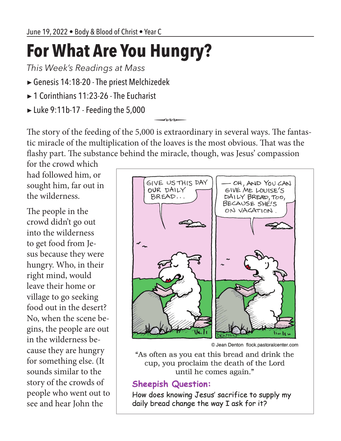## **For What Are You Hungry?**

*This Week's Readings at Mass*

- ▶Genesis 14:18-20 The priest Melchizedek
- ▶ 1 Corinthians 11:23-26 The Eucharist
- ▶ Luke 9:11b-17 Feeding the 5,000

The story of the feeding of the 5,000 is extraordinary in several ways. The fantastic miracle of the multiplication of the loaves is the most obvious. That was the flashy part. The substance behind the miracle, though, was Jesus' compassion

for the crowd which had followed him, or sought him, far out in the wilderness.

The people in the crowd didn't go out into the wilderness to get food from Jesus because they were hungry. Who, in their right mind, would leave their home or village to go seeking food out in the desert? No, when the scene begins, the people are out in the wilderness because they are hungry for something else. (It sounds similar to the story of the crowds of people who went out to see and hear John the



© Jean Denton flock.pastoralcenter.com

"As often as you eat this bread and drink the cup, you proclaim the death of the Lord until he comes again."

## **Sheepish Question:**

How does knowing Jesus' sacrifice to supply my daily bread change the way I ask for it?